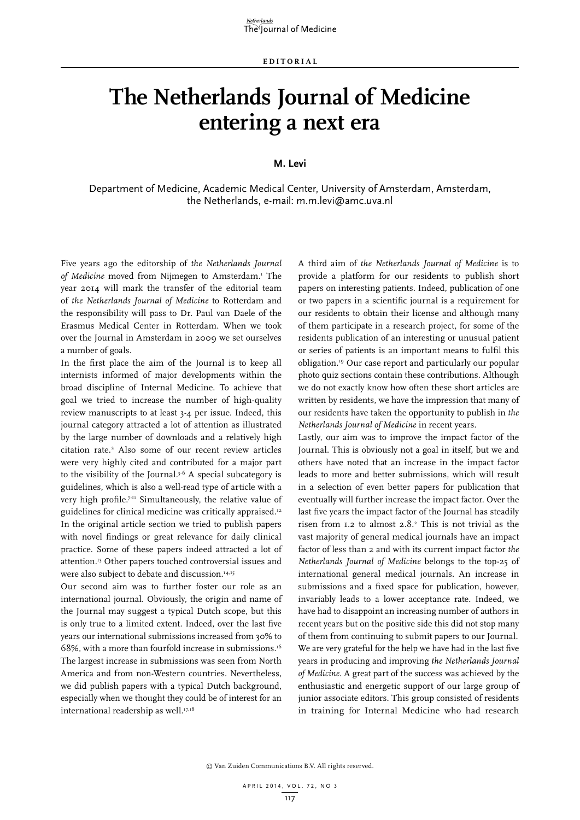## **The Netherlands Journal of Medicine entering a next era**

## **M. Levi**

Department of Medicine, Academic Medical Center, University of Amsterdam, Amsterdam, the Netherlands, e-mail: m.m.levi@amc.uva.nl

Five years ago the editorship of *the Netherlands Journal*  of Medicine moved from Nijmegen to Amsterdam.<sup>1</sup> The year 2014 will mark the transfer of the editorial team of *the Netherlands Journal of Medicine* to Rotterdam and the responsibility will pass to Dr. Paul van Daele of the Erasmus Medical Center in Rotterdam. When we took over the Journal in Amsterdam in 2009 we set ourselves a number of goals.

In the first place the aim of the Journal is to keep all internists informed of major developments within the broad discipline of Internal Medicine. To achieve that goal we tried to increase the number of high-quality review manuscripts to at least 3-4 per issue. Indeed, this journal category attracted a lot of attention as illustrated by the large number of downloads and a relatively high citation rate.2 Also some of our recent review articles were very highly cited and contributed for a major part to the visibility of the Journal.<sup>3-6</sup> A special subcategory is guidelines, which is also a well-read type of article with a very high profile.7-11 Simultaneously, the relative value of guidelines for clinical medicine was critically appraised.12 In the original article section we tried to publish papers with novel findings or great relevance for daily clinical practice. Some of these papers indeed attracted a lot of attention.13 Other papers touched controversial issues and were also subject to debate and discussion.<sup>14,15</sup>

Our second aim was to further foster our role as an international journal. Obviously, the origin and name of the Journal may suggest a typical Dutch scope, but this is only true to a limited extent. Indeed, over the last five years our international submissions increased from 30% to 68%, with a more than fourfold increase in submissions.16 The largest increase in submissions was seen from North America and from non-Western countries. Nevertheless, we did publish papers with a typical Dutch background, especially when we thought they could be of interest for an international readership as well.<sup>17,18</sup>

A third aim of *the Netherlands Journal of Medicine* is to provide a platform for our residents to publish short papers on interesting patients. Indeed, publication of one or two papers in a scientific journal is a requirement for our residents to obtain their license and although many of them participate in a research project, for some of the residents publication of an interesting or unusual patient or series of patients is an important means to fulfil this obligation.19 Our case report and particularly our popular photo quiz sections contain these contributions. Although we do not exactly know how often these short articles are written by residents, we have the impression that many of our residents have taken the opportunity to publish in *the Netherlands Journal of Medicine* in recent years.

Lastly, our aim was to improve the impact factor of the Journal. This is obviously not a goal in itself, but we and others have noted that an increase in the impact factor leads to more and better submissions, which will result in a selection of even better papers for publication that eventually will further increase the impact factor. Over the last five years the impact factor of the Journal has steadily risen from  $1.2$  to almost  $2.8$ .<sup>2</sup> This is not trivial as the vast majority of general medical journals have an impact factor of less than 2 and with its current impact factor *the Netherlands Journal of Medicine* belongs to the top-25 of international general medical journals. An increase in submissions and a fixed space for publication, however, invariably leads to a lower acceptance rate. Indeed, we have had to disappoint an increasing number of authors in recent years but on the positive side this did not stop many of them from continuing to submit papers to our Journal. We are very grateful for the help we have had in the last five years in producing and improving *the Netherlands Journal of Medicine*. A great part of the success was achieved by the enthusiastic and energetic support of our large group of junior associate editors. This group consisted of residents in training for Internal Medicine who had research